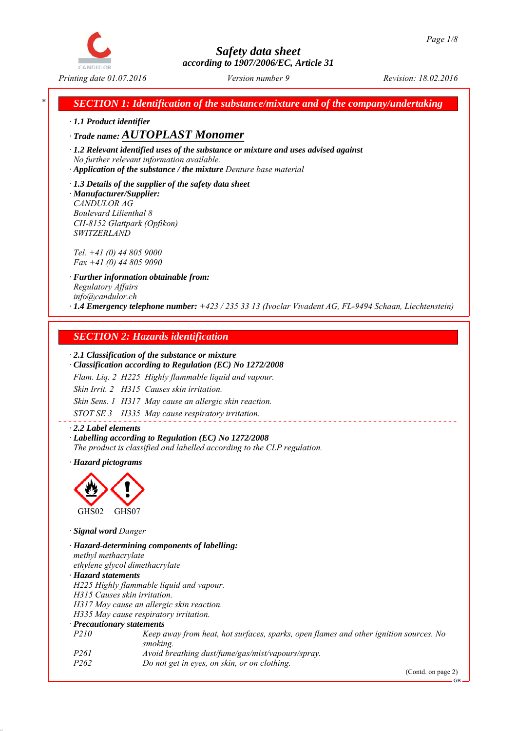

*Printing date 01.07.2016 Revision: 18.02.2016 Version number 9*

*SECTION 1: Identification of the substance/mixture and of the company/undertaking* 

*∙ 1.1 Product identifier*

*∙ Trade name: AUTOPLAST Monomer*

*∙ 1.2 Relevant identified uses of the substance or mixture and uses advised against No further relevant information available.*

*∙ Application of the substance / the mixture Denture base material*

*∙ 1.3 Details of the supplier of the safety data sheet ∙ Manufacturer/Supplier: CANDULOR AG Boulevard Lilienthal 8 CH-8152 Glattpark (Opfikon) SWITZERLAND*

*Tel. +41 (0) 44 805 9000 Fax +41 (0) 44 805 9090*

*∙ Further information obtainable from: Regulatory Affairs info@candulor.ch ∙ 1.4 Emergency telephone number: +423 / 235 33 13 (Ivoclar Vivadent AG, FL-9494 Schaan, Liechtenstein)*

## *SECTION 2: Hazards identification*

#### *∙ 2.1 Classification of the substance or mixture*

*∙ Classification according to Regulation (EC) No 1272/2008*

*Flam. Liq. 2 H225 Highly flammable liquid and vapour.*

*Skin Irrit. 2 H315 Causes skin irritation.*

*Skin Sens. 1 H317 May cause an allergic skin reaction.*

*STOT SE 3 H335 May cause respiratory irritation.*

*∙ 2.2 Label elements ∙ Labelling according to Regulation (EC) No 1272/2008 The product is classified and labelled according to the CLP regulation.*

*∙ Hazard pictograms*



*∙ Signal word Danger*

*∙ Hazard-determining components of labelling: methyl methacrylate ethylene glycol dimethacrylate ∙ Hazard statements H225 Highly flammable liquid and vapour. H315 Causes skin irritation. H317 May cause an allergic skin reaction. H335 May cause respiratory irritation. ∙ Precautionary statements P210 Keep away from heat, hot surfaces, sparks, open flames and other ignition sources. No smoking. P261 Avoid breathing dust/fume/gas/mist/vapours/spray. P262 Do not get in eyes, on skin, or on clothing.*

(Contd. on page 2)

GB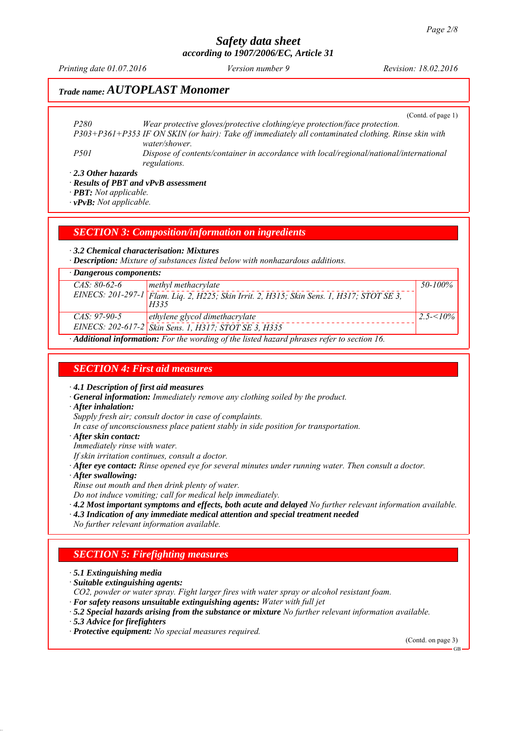*Printing date 01.07.2016 Revision: 18.02.2016 Version number 9*

## *Trade name: AUTOPLAST Monomer*

(Contd. of page 1)

*P280 Wear protective gloves/protective clothing/eye protection/face protection. P303+P361+P353 IF ON SKIN (or hair): Take off immediately all contaminated clothing. Rinse skin with water/shower. P501 Dispose of contents/container in accordance with local/regional/national/international regulations.*

*∙ 2.3 Other hazards*

*∙ Results of PBT and vPvB assessment*

*∙ PBT: Not applicable.*

*∙ vPvB: Not applicable.*

#### *SECTION 3: Composition/information on ingredients*

*∙ 3.2 Chemical characterisation: Mixtures*

*∙ Description: Mixture of substances listed below with nonhazardous additions.*

| $\cdot$ Dangerous components:                                                                           |                                                                                                   |              |  |
|---------------------------------------------------------------------------------------------------------|---------------------------------------------------------------------------------------------------|--------------|--|
| $CAS: 80-62-6$                                                                                          | methyl methacrylate                                                                               | 50-100%      |  |
|                                                                                                         | EINECS: 201-297-1 Flam. Liq. 2, H225; Skin Irrit. 2, H315; Skin Sens. 1, H317; STOT SE 3,<br>H335 |              |  |
| $CAS: 97-90-5$                                                                                          | ethylene glycol dimethacrylate                                                                    | $2.5 - 10\%$ |  |
|                                                                                                         | EINECS: 202-617-2 Skin Sens. 1, H317; STOT SE 3, H335                                             |              |  |
| $\cdot$ <b>Additional information:</b> For the wording of the listed hazard phrases refer to section 16 |                                                                                                   |              |  |

*∙ Additional information: For the wording of the listed hazard phrases refer to section 16.*

#### *SECTION 4: First aid measures*

*∙ 4.1 Description of first aid measures*

- *∙ General information: Immediately remove any clothing soiled by the product.*
- *∙ After inhalation:*

*Supply fresh air; consult doctor in case of complaints.*

- *In case of unconsciousness place patient stably in side position for transportation.*
- *∙ After skin contact:*

*Immediately rinse with water.*

- *If skin irritation continues, consult a doctor.*
- *∙ After eye contact: Rinse opened eye for several minutes under running water. Then consult a doctor.*
- *∙ After swallowing:*
- *Rinse out mouth and then drink plenty of water.*

*Do not induce vomiting; call for medical help immediately.*

- *∙ 4.2 Most important symptoms and effects, both acute and delayed No further relevant information available.*
- *∙ 4.3 Indication of any immediate medical attention and special treatment needed*
- *No further relevant information available.*

## *SECTION 5: Firefighting measures*

*∙ 5.1 Extinguishing media*

- *∙ Suitable extinguishing agents:*
- *CO2, powder or water spray. Fight larger fires with water spray or alcohol resistant foam.*
- *∙ For safety reasons unsuitable extinguishing agents: Water with full jet*
- *∙ 5.2 Special hazards arising from the substance or mixture No further relevant information available.*
- *∙ 5.3 Advice for firefighters*

*∙ Protective equipment: No special measures required.*

(Contd. on page 3)

GB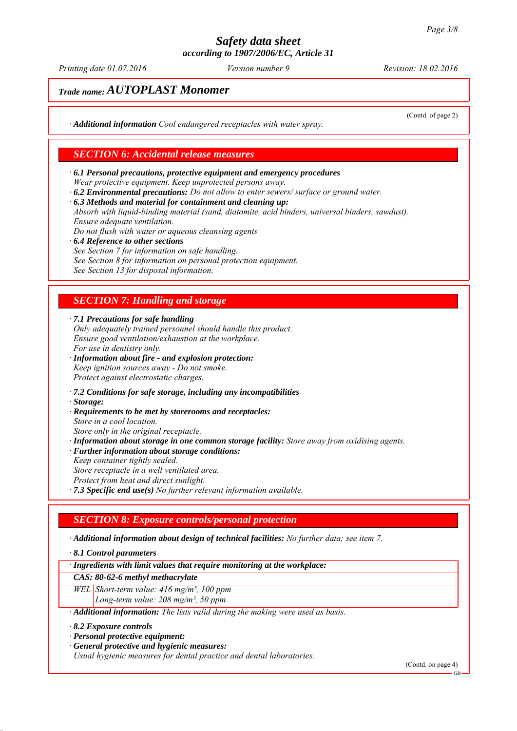*Printing date 01.07.2016 Revision: 18.02.2016 Version number 9*

(Contd. of page 2)

# *Trade name: AUTOPLAST Monomer*

*∙ Additional information Cool endangered receptacles with water spray.*

#### *SECTION 6: Accidental release measures*

- *∙ 6.1 Personal precautions, protective equipment and emergency procedures Wear protective equipment. Keep unprotected persons away.*
- *∙ 6.2 Environmental precautions: Do not allow to enter sewers/ surface or ground water.*
- *∙ 6.3 Methods and material for containment and cleaning up:*

*Absorb with liquid-binding material (sand, diatomite, acid binders, universal binders, sawdust). Ensure adequate ventilation.*

- *Do not flush with water or aqueous cleansing agents*
- *∙ 6.4 Reference to other sections See Section 7 for information on safe handling. See Section 8 for information on personal protection equipment. See Section 13 for disposal information.*

## *SECTION 7: Handling and storage*

*∙ 7.1 Precautions for safe handling*

- *Only adequately trained personnel should handle this product. Ensure good ventilation/exhaustion at the workplace. For use in dentistry only.*
- *∙ Information about fire and explosion protection: Keep ignition sources away - Do not smoke. Protect against electrostatic charges.*
- *∙ 7.2 Conditions for safe storage, including any incompatibilities*
- *∙ Storage:*
- *∙ Requirements to be met by storerooms and receptacles:*
- *Store in a cool location.*
- *Store only in the original receptacle. ∙ Information about storage in one common storage facility: Store away from oxidising agents.*
- *∙ Further information about storage conditions:*
- *Keep container tightly sealed. Store receptacle in a well ventilated area.*
- *Protect from heat and direct sunlight.*
- *∙ 7.3 Specific end use(s) No further relevant information available.*

## *SECTION 8: Exposure controls/personal protection*

*∙ Additional information about design of technical facilities: No further data; see item 7.*

*∙ 8.1 Control parameters*

*∙ Ingredients with limit values that require monitoring at the workplace:*

#### *CAS: 80-62-6 methyl methacrylate*

*WEL Short-term value: 416 mg/m³, 100 ppm Long-term value: 208 mg/m³, 50 ppm*

*∙ Additional information: The lists valid during the making were used as basis.*

#### *∙ 8.2 Exposure controls*

- *∙ Personal protective equipment:*
- *∙ General protective and hygienic measures:*

*Usual hygienic measures for dental practice and dental laboratories.*

(Contd. on page 4)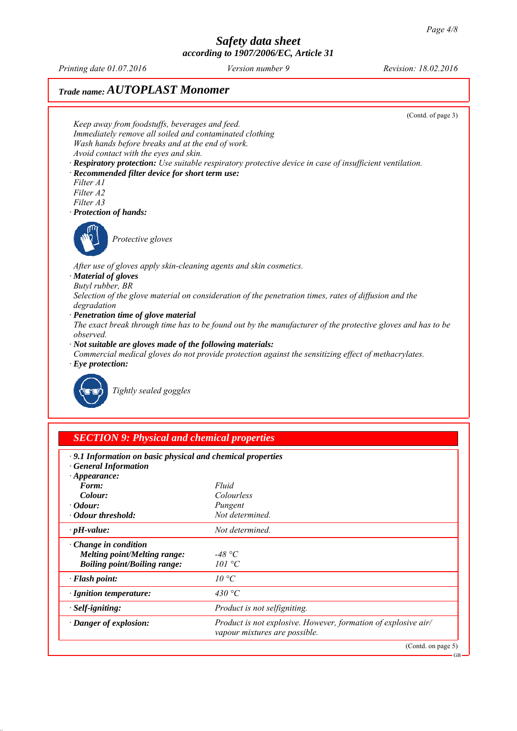*Printing date 01.07.2016 Revision: 18.02.2016 Version number 9*

# *Trade name: AUTOPLAST Monomer*



*∙ Danger of explosion: Product is not explosive. However, formation of explosive air/*

*vapour mixtures are possible.*

(Contd. on page 5)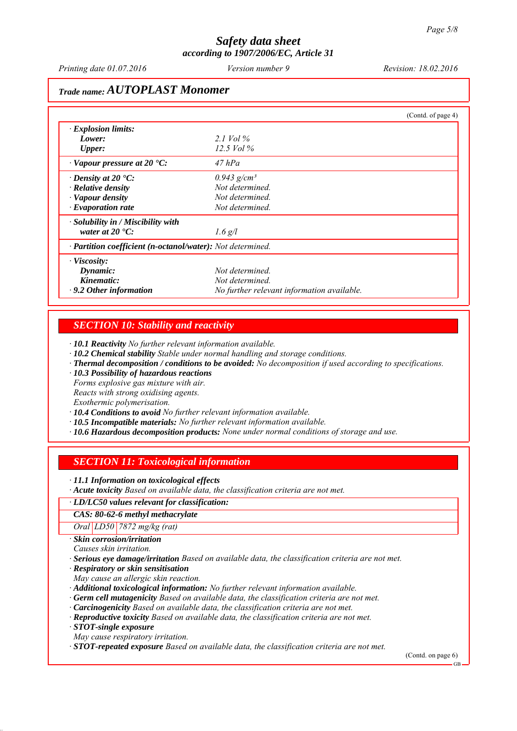*Printing date 01.07.2016 Revision: 18.02.2016 Version number 9*

## *Trade name: AUTOPLAST Monomer*

|                                                            |                                            | (Contd. of page 4) |
|------------------------------------------------------------|--------------------------------------------|--------------------|
| $\cdot$ Explosion limits:                                  |                                            |                    |
| Lower:                                                     | 2.1 Vol $\%$                               |                    |
| <b>Upper:</b>                                              | 12.5 Vol $\%$                              |                    |
| $\cdot$ Vapour pressure at 20 $\cdot$ C:                   | $47$ hPa                                   |                    |
| $\cdot$ Density at 20 $\cdot$ C:                           | $0.943$ g/cm <sup>3</sup>                  |                    |
| · Relative density                                         | Not determined.                            |                    |
| · Vapour density                                           | Not determined.                            |                    |
| $\cdot$ Evaporation rate                                   | Not determined.                            |                    |
| · Solubility in / Miscibility with                         |                                            |                    |
| water at $20^{\circ}$ C:                                   | $1.6$ g/l                                  |                    |
| · Partition coefficient (n-octanol/water): Not determined. |                                            |                    |
| $\cdot$ Viscosity:                                         |                                            |                    |
| Dynamic:                                                   | Not determined.                            |                    |
| Kinematic:                                                 | Not determined.                            |                    |
| $\cdot$ 9.2 Other information                              | No further relevant information available. |                    |

#### *SECTION 10: Stability and reactivity*

*∙ 10.1 Reactivity No further relevant information available.*

- *∙ 10.2 Chemical stability Stable under normal handling and storage conditions.*
- *∙ Thermal decomposition / conditions to be avoided: No decomposition if used according to specifications.*
- *∙ 10.3 Possibility of hazardous reactions*

*Forms explosive gas mixture with air.*

*Reacts with strong oxidising agents.*

*Exothermic polymerisation.*

*∙ 10.4 Conditions to avoid No further relevant information available.*

- *∙ 10.5 Incompatible materials: No further relevant information available.*
- *∙ 10.6 Hazardous decomposition products: None under normal conditions of storage and use.*

## *SECTION 11: Toxicological information*

*∙ 11.1 Information on toxicological effects*

*∙ Acute toxicity Based on available data, the classification criteria are not met.*

#### *∙ LD/LC50 values relevant for classification:*

*CAS: 80-62-6 methyl methacrylate*

*Oral LD50 7872 mg/kg (rat)*

*∙ Skin corrosion/irritation*

*Causes skin irritation.*

*∙ Serious eye damage/irritation Based on available data, the classification criteria are not met.*

*∙ Respiratory or skin sensitisation*

*May cause an allergic skin reaction.*

*∙ Additional toxicological information: No further relevant information available.*

- *∙ Germ cell mutagenicity Based on available data, the classification criteria are not met.*
- *∙ Carcinogenicity Based on available data, the classification criteria are not met.*
- *∙ Reproductive toxicity Based on available data, the classification criteria are not met.*

*∙ STOT-single exposure*

*May cause respiratory irritation.*

*∙ STOT-repeated exposure Based on available data, the classification criteria are not met.*

(Contd. on page 6)

GB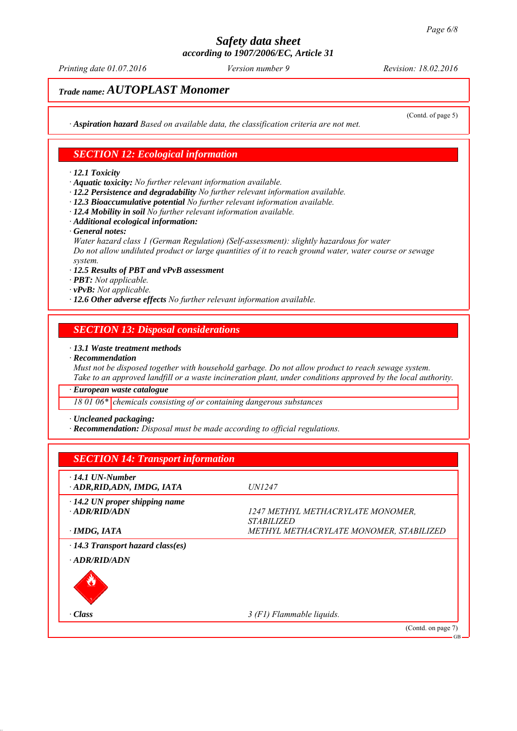*Printing date 01.07.2016 Revision: 18.02.2016 Version number 9*

(Contd. of page 5)

# *Trade name: AUTOPLAST Monomer*

*∙ Aspiration hazard Based on available data, the classification criteria are not met.*

#### *SECTION 12: Ecological information*

#### *∙ 12.1 Toxicity*

*∙ Aquatic toxicity: No further relevant information available.*

- *∙ 12.2 Persistence and degradability No further relevant information available.*
- *∙ 12.3 Bioaccumulative potential No further relevant information available.*
- *∙ 12.4 Mobility in soil No further relevant information available.*
- *∙ Additional ecological information:*
- *∙ General notes:*

*Water hazard class 1 (German Regulation) (Self-assessment): slightly hazardous for water Do not allow undiluted product or large quantities of it to reach ground water, water course or sewage system.*

- *∙ 12.5 Results of PBT and vPvB assessment*
- *∙ PBT: Not applicable.*
- *∙ vPvB: Not applicable.*
- *∙ 12.6 Other adverse effects No further relevant information available.*

#### *SECTION 13: Disposal considerations*

*∙ 13.1 Waste treatment methods*

*∙ Recommendation*

*Must not be disposed together with household garbage. Do not allow product to reach sewage system. Take to an approved landfill or a waste incineration plant, under conditions approved by the local authority.*

*∙ European waste catalogue*

*18 01 06\* chemicals consisting of or containing dangerous substances*

*∙ Uncleaned packaging:*

*∙ Recommendation: Disposal must be made according to official regulations.*

| <b>SECTION 14: Transport information</b>                      |                                                               |
|---------------------------------------------------------------|---------------------------------------------------------------|
| $\cdot$ 14.1 UN-Number<br>· ADR, RID, ADN, IMDG, IATA         | <i>UN1247</i>                                                 |
| $\cdot$ 14.2 UN proper shipping name<br>$-ADR/RID/ADN$        | 1247 METHYL METHACRYLATE MONOMER,<br><i><b>STABILIZED</b></i> |
| $\cdot$ IMDG, IATA<br>$\cdot$ 14.3 Transport hazard class(es) | METHYL METHACRYLATE MONOMER, STABILIZED                       |
| · ADR/RID/ADN                                                 |                                                               |
| · Class                                                       | $3$ (F1) Flammable liquids.                                   |
|                                                               | (Contd. on page 7)<br>GB                                      |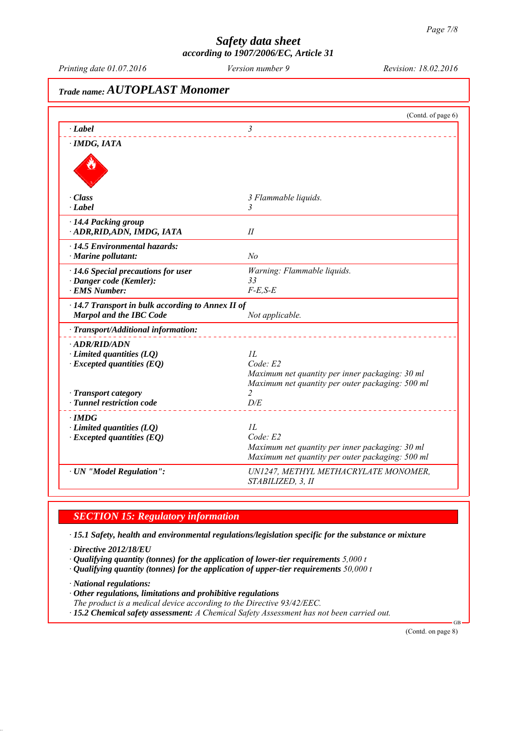*Printing date 01.07.2016 Revision: 18.02.2016 Version number 9*

# *Trade name: AUTOPLAST Monomer* (Contd. of page 6) *∙ Label 3 ∙ IMDG, IATA ∙ Class 3 Flammable liquids. ∙ Label 3 ∙ 14.4 Packing group ∙ ADR,RID,ADN, IMDG, IATA II ∙ 14.5 Environmental hazards: ∙ Marine pollutant: No ∙ 14.6 Special precautions for user Warning: Flammable liquids. ∙ Danger code (Kemler): 33 ∙ EMS Number: F-E,S-E ∙ 14.7 Transport in bulk according to Annex II of Marpol and the IBC Code Not applicable. ∙ Transport/Additional information: ∙ ADR/RID/ADN ∂ Limited quantities (LQ) 1L*<br>*∙ Excepted quantities (EQ) Code E2 ∗ Excepted quantities (EQ) Maximum net quantity per inner packaging: 30 ml Maximum net quantity per outer packaging: 500 ml −* **Transport category 2**<br>*−* **Tunnel restriction code** *D/E ∤ <i>Tunnel restriction code ∙ IMDG ∙ Limited quantities (LQ) 1L ∙ Excepted quantities (EQ) Code: E2 Maximum net quantity per inner packaging: 30 ml Maximum net quantity per outer packaging: 500 ml ∙ UN "Model Regulation": UN1247, METHYL METHACRYLATE MONOMER, STABILIZED, 3, II*

## *SECTION 15: Regulatory information*

*∙ 15.1 Safety, health and environmental regulations/legislation specific for the substance or mixture*

- *∙ Directive 2012/18/EU*
- *∙ Qualifying quantity (tonnes) for the application of lower-tier requirements 5,000 t*
- *∙ Qualifying quantity (tonnes) for the application of upper-tier requirements 50,000 t*

*∙ National regulations:*

- *∙ Other regulations, limitations and prohibitive regulations*
- *The product is a medical device according to the Directive 93/42/EEC.*
- *∙ 15.2 Chemical safety assessment: A Chemical Safety Assessment has not been carried out.*

(Contd. on page 8)

GB